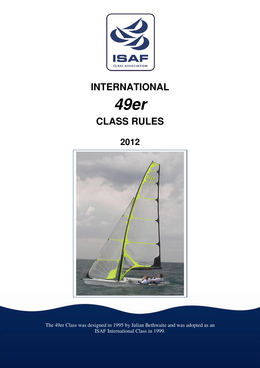

# **INTERNATIONAL 49er CLASS RULES**

**2012** 



The 49er Class was designed in 1995 by Julian Bethwaite and was adopted as an ISAF International Class in 1999.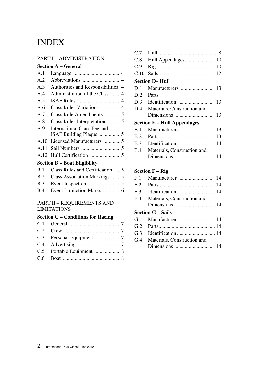# INDEX

#### PART I – ADMINISTRATION

# **Section A – General**

| A.1                                 |                                      |  |
|-------------------------------------|--------------------------------------|--|
| A.2                                 |                                      |  |
| A.3                                 | Authorities and Responsibilities 4   |  |
| A.4                                 |                                      |  |
| A.5                                 |                                      |  |
| A.6                                 |                                      |  |
| A.7                                 | Class Rule Amendments 5              |  |
| A.8                                 |                                      |  |
| A.9                                 | International Class Fee and          |  |
|                                     |                                      |  |
| A.10                                |                                      |  |
| A.11                                |                                      |  |
|                                     |                                      |  |
| <b>Section B – Boat Eligibility</b> |                                      |  |
|                                     | B.1 Class Rules and Certification  5 |  |

| B.2 Class Association Markings5 |
|---------------------------------|
|                                 |
|                                 |

#### PART II – REQUIREMENTS AND LIMITATIONS

# **Section C – Conditions for Racing**

| C.7                                |                             |  |  |
|------------------------------------|-----------------------------|--|--|
| C.8                                |                             |  |  |
| C.9                                | 10                          |  |  |
| C.10                               |                             |  |  |
| <b>Section D– Hull</b>             |                             |  |  |
| D.1                                |                             |  |  |
| D.2                                | Parts                       |  |  |
| D.3                                | 13                          |  |  |
| D.4                                | Materials, Construction and |  |  |
|                                    |                             |  |  |
| <b>Section E - Hull Appendages</b> |                             |  |  |
| E.1                                |                             |  |  |
| E.2                                | 13                          |  |  |
| E.3                                |                             |  |  |
| E.4                                | Materials, Construction and |  |  |
|                                    |                             |  |  |
|                                    |                             |  |  |

# **Section F – Rig**

| F.1             |                             |
|-----------------|-----------------------------|
| F <sub>.2</sub> |                             |
| F <sub>3</sub>  |                             |
| F.4             | Materials, Construction and |
|                 |                             |
|                 | <b>Section G – Sails</b>    |
|                 |                             |
| G.2             |                             |
| G.3             |                             |
| G.4             | Materials, Construction and |
|                 |                             |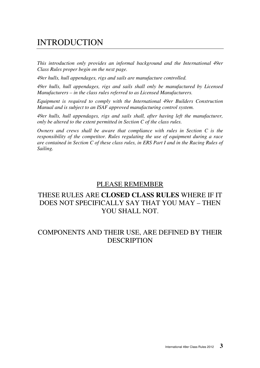# INTRODUCTION

*This introduction only provides an informal background and the International 49er Class Rules proper begin on the next page.* 

*49er hulls, hull appendages, rigs and sails are manufacture controlled.* 

*49er hulls, hull appendages, rigs and sails shall only be manufactured by Licensed Manufacturers – in the class rules referred to as Licensed Manufacturers.* 

*Equipment is required to comply with the International 49er Builders Construction Manual and is subject to an ISAF approved manufacturing control system.* 

*49er hulls, hull appendages, rigs and sails shall, after having left the manufacturer, only be altered to the extent permitted in Section C of the class rules.* 

*Owners and crews shall be aware that compliance with rules in Section C is the responsibility of the competitor. Rules regulating the use of equipment during a race are contained in Section C of these class rules, in ERS Part I and in the Racing Rules of Sailing.* 

# PLEASE REMEMBER

# THESE RULES ARE **CLOSED CLASS RULES** WHERE IF IT DOES NOT SPECIFICALLY SAY THAT YOU MAY – THEN YOU SHALL NOT.

# COMPONENTS AND THEIR USE, ARE DEFINED BY THEIR **DESCRIPTION**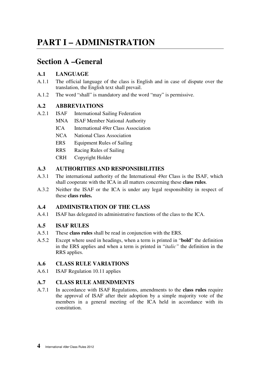# **PART I – ADMINISTRATION**

# **Section A –General**

# **A.1 LANGUAGE**

- A.1.1 The official language of the class is English and in case of dispute over the translation, the English text shall prevail.
- A.1.2 The word "shall" is mandatory and the word "may" is permissive.

# **A.2 ABBREVIATIONS**

- A.2.1 ISAF International Sailing Federation
	- MNA ISAF Member National Authority
		- ICA International 49er Class Association
	- NCA National Class Association
	- ERS Equipment Rules of Sailing
	- RRS Racing Rules of Sailing
	- CRH Copyright Holder

# **A.3 AUTHORITIES AND RESPONSIBILITIES**

- A.3.1 The international authority of the International 49er Class is the ISAF, which shall cooperate with the ICA in all matters concerning these **class rules**.
- A.3.2 Neither the ISAF or the ICA is under any legal responsibility in respect of these **class rules.**

# **A.4 ADMINISTRATION OF THE CLASS**

A.4.1 ISAF has delegated its administrative functions of the class to the ICA.

# **A.5 ISAF RULES**

- A.5.1 These **class rules** shall be read in conjunction with the ERS.
- A.5.2 Except where used in headings, when a term is printed in "**bold**" the definition in the ERS applies and when a term is printed in "*italic"* the definition in the RRS applies.

# **A.6 CLASS RULE VARIATIONS**

A.6.1 ISAF Regulation 10.11 applies

# **A.7 CLASS RULE AMENDMENTS**

A.7.1 In accordance with ISAF Regulations, amendments to the **class rules** require the approval of ISAF after their adoption by a simple majority vote of the members in a general meeting of the ICA held in accordance with its constitution.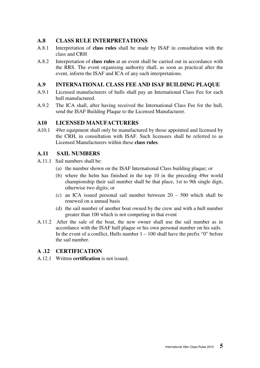# **A.8 CLASS RULE INTERPRETATIONS**

- A.8.1 Interpretation of **class rules** shall be made by ISAF in consultation with the class and CRH
- A.8.2 Interpretation of **class rules** at an event shall be carried out in accordance with the RRS. The event organising authority shall, as soon as practical after the event, inform the ISAF and ICA of any such interpretations.

# **A.9 INTERNATIONAL CLASS FEE AND ISAF BUILDING PLAQUE**

- A.9.1 Licensed manufacturers of hulls shall pay an International Class Fee for each hull manufactured.
- A.9.2 The ICA shall, after having received the International Class Fee for the hull, send the ISAF Building Plaque to the Licensed Manufacturer.

# **A10 LICENSED MANUFACTURERS**

A10.1 49er equipment shall only be manufactured by those appointed and licensed by the CRH, in consultation with ISAF. Such licensees shall be referred to as Licensed Manufacturers within these **class rules**.

#### **A.11 SAIL NUMBERS**

- A.11.1 Sail numbers shall be:
	- (a) the number shown on the ISAF International Class building plaque; or
	- (b) where the helm has finished in the top 10 in the preceding 49er world championship their sail number shall be that place, 1st to 9th single digit, otherwise two digits; or
	- (c) an ICA issued personal sail number between 20 500 which shall be renewed on a annual basis
	- (d) the sail number of another boat owned by the crew and with a hull number greater than 100 which is not competing in that event
- A.11.2 After the sale of the boat, the new owner shall use the sail number as in accordance with the ISAF hull plaque or his own personal number on his sails. In the event of a conflict, Hulls number  $1 - 100$  shall have the prefix "0" before the sail number.

# **A .12 CERTIFICATION**

A.12.1 Written **certification** is not issued.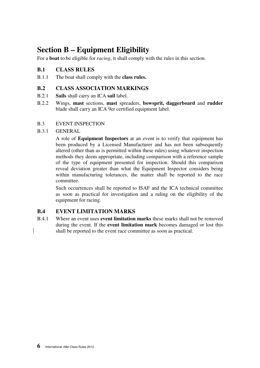# **Section B – Equipment Eligibility**

For a **boat** to be eligible for *racing*, it shall comply with the rules in this section.

# **B.1 CLASS RULES**

B.1.1 The boat shall comply with the **class rules.** 

### **B.2 CLASS ASSOCIATION MARKINGS**

- B.2.1 **Sails** shall carry an ICA **sail** label.
- B.2.2 Wings, **mast** sections, **mast** spreaders, **bowsprit, daggerboard** and **rudder**  blade shall carry an ICA 9er certified equipment label.

#### B.3 EVENT INSPECTION

#### B.3.1 GENERAL

 A role of **Equipment Inspectors** at an event is to verify that equipment has been produced by a Licensed Manufacturer and has not been subsequently altered (other than as is permitted within these rules) using whatever inspection methods they deem appropriate, including comparison with a reference sample of the type of equipment presented for inspection. Should this comparison reveal deviation greater than what the Equipment Inspector considers being within manufacturing tolerances, the matter shall be reported to the race committee.

 Such occurrences shall be reported to ISAF and the ICA technical committee as soon as practical for investigation and a ruling on the eligibility of the equipment for racing.

#### **B.4 EVENT LIMITATION MARKS**

B.4.1 Where an event uses **event limitation marks** these marks shall not be removed during the event. If the **event limitation mark** becomes damaged or lost this shall be reported to the event race committee as soon as practical.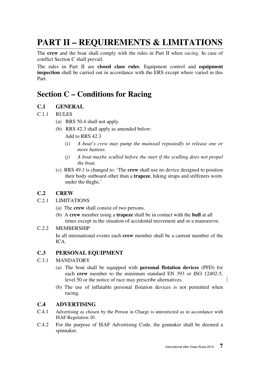# **PART II – REQUIREMENTS & LIMITATIONS**

The **crew** and the boat shall comply with the rules in Part II when *racing*. In case of conflict Section C shall prevail.

The rules in Part II are **closed class rules**. Equipment control and **equipment inspection** shall be carried out in accordance with the ERS except where varied in this Part.

# **Section C – Conditions for Racing**

# **C.1 GENERAL**

# C.1.1 RULES

- (a) RRS 50.4 shall not apply.
- (b) RRS 42.3 shall apply as amended below: Add to RRS 42.3
	- *(i) A boat's crew may pump the mainsail repeatedly to release one or more battens.*
	- *(j) A boat maybe sculled before the start if the sculling does not propel the boat.*
- (c) RRS 49.1 is changed to: 'The **crew** shall use no device designed to position their body outboard other than a **trapeze**, hiking straps and stiffeners worn under the thighs.'

# **C.2 CREW**

# C.2.1 LIMITATIONS

- (a) The **crew** shall consist of two persons.
- (b) A **crew** member using a **trapeze** shall be in contact with the **hull** at all times except in the situation of accidental movement and or a manoeuvre.

#### C.2.2 MEMBERSHIP

 In all international events each **crew** member shall be a current member of the ICA.

# **C.3 PERSONAL EQUIPMENT**

#### C.3.1 MANDATORY

- (a) The boat shall be equipped with **personal flotation devices** (PFD) for each **crew** member to the minimum standard EN 393 or ISO 12402-5, level 50 or the notice of race may prescribe alternatives.
- (b) The use of inflatable personal flotation devices is not permitted when racing.

# **C.4 ADVERTISING**

- C.4.1 Advertising as chosen by the Person in Charge is unrestricted as in accordance with ISAF Regulation 20.
- C.4.2 For the purpose of ISAF Advertising Code, the gennaker shall be deemed a spinnaker.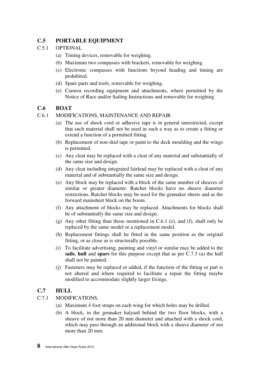# **C.5 PORTABLE EQUIPMENT**

#### C.5.1 OPTIONAL

- (a) Timing devices, removable for weighing.
- (b) Maximum two compasses with brackets, removable for weighing.
- (c) Electronic compasses with functions beyond heading and timing are prohibited.
- (d) Spare parts and tools, removable for weighing.
- (e) Camera recording equipment and attachments, where permitted by the Notice of Race and/or Sailing Instructions and removable for weighing.

#### **C.6 BOAT**

#### C.6.1 MODIFICATIONS, MAINTENANCE AND REPAIR

- (a) The use of shock cord or adhesive tape is in general unrestricted, except that such material shall not be used in such a way as to create a fitting or extend a function of a permitted fitting.
- (b) Replacement of non-skid tape or paint to the deck moulding and the wings is permitted.
- (c) Any cleat may be replaced with a cleat of any material and substantially of the same size and design.
- (d) Any cleat including integrated fairlead may be replaced with a cleat of any material and of substantially the same size and design.
- (e) Any block may be replaced with a block of the same number of sheaves of similar or greater diameter. Ratchet blocks have no sheave diameter restrictions. Ratchet blocks may be used for the gennaker sheets and as the forward mainsheet block on the boom.
- (f) Any attachment of blocks may be replaced. Attachments for blocks shall be of substantially the same size and design.
- (g) Any other fitting than those mentioned in C.6.1 (e), and (f), shall only be replaced by the same model or a replacement model.
- (h) Replacement fittings shall be fitted in the same position as the original fitting, or as close as is structurally possible.
- (i) To facilitate advertising, painting and vinyl or similar may be added to the **sails**, **hull** and **spars** for this purpose except that as per C.7.3 (a) the hull shall not be painted.
- (j) Fasteners may be replaced or added, if the function of the fitting or part is not altered and where required to facilitate a repair the fitting maybe modified to accommodate slightly larger fixings.

# **C.7 HULL**

#### C.7.1 MODIFICATIONS,

- (a) Maximum 4 foot straps on each wing for which holes may be drilled.
- (b) A block, in the gennaker halyard behind the two floor blocks, with a sheave of not more than 20 mm diameter and attached with a shock cord, which may pass through an additional block with a sheave diameter of not more than 20 mm.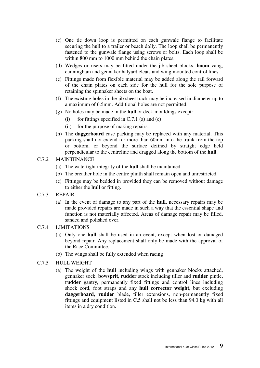- (c) One tie down loop is permitted on each gunwale flange to facilitate securing the hull to a trailer or beach dolly. The loop shall be permanently fastened to the gunwale flange using screws or bolts. Each loop shall be within 800 mm to 1000 mm behind the chain plates.
- (d) Wedges or risers may be fitted under the jib sheet blocks, **boom** vang, cunningham and gennaker halyard cleats and wing mounted control lines.
- (e) Fittings made from flexible material may be added along the rail forward of the chain plates on each side for the hull for the sole purpose of retaining the spinnaker sheets on the boat.
- (f) The existing holes in the jib sheet track may be increased in diameter up to a maximum of 6.5mm. Additional holes are not permitted.
- (g) No holes may be made in the **hull** or deck mouldings except:
	- (i) for fittings specified in C.7.1 (a) and (c)
	- (ii) for the purpose of making repairs.
- (h) The **daggerboard** case packing may be replaced with any material. This packing shall not extend for more than 60mm into the trunk from the top or bottom, or beyond the surface defined by straight edge held perpendicular to the centreline and dragged along the bottom of the **hull**.

#### C.7.2 MAINTENANCE

- (a) The watertight integrity of the **hull** shall be maintained.
- (b) The breather hole in the centre plinth shall remain open and unrestricted.
- (c) Fittings may be bedded in provided they can be removed without damage to either the **hull** or fitting.
- C.7.3 REPAIR
	- (a) In the event of damage to any part of the **hull**, necessary repairs may be made provided repairs are made in such a way that the essential shape and function is not materially affected. Areas of damage repair may be filled, sanded and polished over.

#### C.7.4 LIMITATIONS

- (a) Only one **hull** shall be used in an event, except when lost or damaged beyond repair. Any replacement shall only be made with the approval of the Race Committee.
- (b) The wings shall be fully extended when racing
- C.7.5 HULL WEIGHT
	- (a) The weight of the **hull** including wings with gennaker blocks attached, gennaker sock, **bowsprit**, **rudder** stock including tiller and **rudder** pintle, **rudder** gantry, permanently fixed fittings and control lines including shock cord, foot straps and any **hull corrector weight**, but excluding **daggerboard**, **rudder** blade, tiller extensions, non-permanently fixed fittings and equipment listed in C.5 shall not be less than 94.0 kg with all items in a dry condition.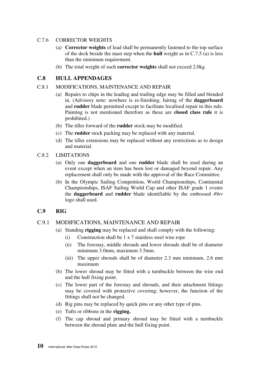#### C.7.6 CORRECTOR WEIGHTS

- (a) **Corrector weights** of lead shall be permanently fastened to the top surface of the deck beside the mast step when the **hull** weight as in C.7.5 (a) is less than the minimum requirement.
- (b) The total weight of such **corrector weights** shall not exceed 2.0kg.

### **C.8 HULL APPENDAGES**

#### C.8.1 MODIFICATIONS, MAINTENANCE AND REPAIR

- (a) Repairs to chips in the leading and trailing edge may be filled and blended in. (Advisory note: nowhere is re-finishing, fairing of the **daggerboard** and **rudder** blade permitted except to facilitate localised repair in this rule. Painting is not mentioned therefore as these are **closed class rule** it is prohibited.)
- (b) The tiller forward of the **rudder** stock may be modified.
- (c) The **rudder** stock packing may be replaced with any material.
- (d) The tiller extensions may be replaced without any restrictions as to design and material.
- C.8.2 LIMITATIONS
	- (a) Only one **daggerboard** and one **rudder** blade shall be used during an event except when an item has been lost or damaged beyond repair. Any replacement shall only be made with the approval of the Race Committee.
	- (b) In the Olympic Sailing Competition, World Championships, Continental Championships, ISAF Sailing World Cup and other ISAF grade 1 events the **daggerboard** and **rudder** blade identifiable by the embossed *49er* logo shall used.

# **C.9 RIG**

#### C.9.1 MODIFICATIONS, MAINTENANCE AND REPAIR

- (a) Standing **rigging** may be replaced and shall comply with the following:
	- (i) Construction shall be 1 x 7 stainless steel wire rope
	- (ii) The forestay, middle shrouds and lower shrouds shall be of diameter minimum 3.0mm, maximum 3.5mm.
	- (iii) The upper shrouds shall be of diameter 2.3 mm minimum, 2.6 mm maximum
- (b) The lower shroud may be fitted with a turnbuckle between the wire end and the hull fixing point.
- (c) The lower part of the forestay and shrouds, and their attachment fittings may be covered with protective covering; however, the function of the fittings shall not be changed.
- (d) Rig pins may be replaced by quick pins or any other type of pins.
- (e) Tufts or ribbons in the **rigging.**
- (f) The cap shroud and primary shroud may be fitted with a turnbuckle between the shroud plate and the hull fixing point.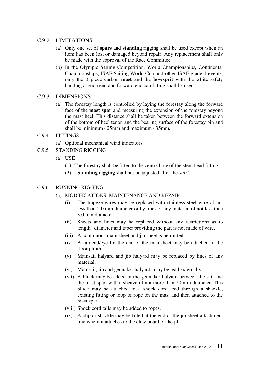#### C.9.2 LIMITATIONS

- (a) Only one set of **spars** and **standing** rigging shall be used except when an item has been lost or damaged beyond repair. Any replacement shall only be made with the approval of the Race Committee.
- (b) In the Olympic Sailing Competition, World Championships, Continental Championships, ISAF Sailing World Cup and other ISAF grade 1 events, only the 3 piece carbon **mast** and the **bowsprit** with the white safety banding at each end and forward end cap fitting shall be used.

#### C.9.3 DIMENSIONS

(a) The forestay length is controlled by laying the forestay along the forward face of the **mast spar** and measuring the extension of the forestay beyond the mast heel. This distance shall be taken between the forward extension of the bottom of heel tenon and the bearing surface of the forestay pin and shall be minimum 425mm and maximum 435mm.

#### C.9.4 FITTINGS

- (a) Optional mechanical wind indicators.
- C.9.5 STANDING RIGGING
	- (a) USE
		- (1) The forestay shall be fitted to the centre hole of the stem head fitting.
		- (2) **Standing rigging** shall not be adjusted after the *start*.

#### C.9.6 RUNNING RIGGING

#### (a) MODIFICATIONS, MAINTENANCE AND REPAIR

- (i) The trapeze wires may be replaced with stainless steel wire of not less than 2.0 mm diameter or by lines of any material of not less than 3.0 mm diameter.
- (ii) Sheets and lines may be replaced without any restrictions as to length, diameter and taper providing the part is not made of wire.
- (iii) A continuous main sheet and jib sheet is permitted.
- (iv) A fairlead/eye for the end of the mainsheet may be attached to the floor plinth.
- (v) Mainsail halyard and jib halyard may be replaced by lines of any material.
- (vi) Mainsail, jib and gennaker halyards may be lead externally
- (vii) A block may be added in the gennaker halyard between the sail and the mast spar, with a sheave of not more than 20 mm diameter. This block may be attached to a shock cord lead through a shackle, existing fitting or loop of rope on the mast and then attached to the mast spar.
- (viii) Shock cord tails may be added to ropes.
- (ix) A clip or shackle may be fitted at the end of the jib sheet attachment line where it attaches to the clew board of the jib.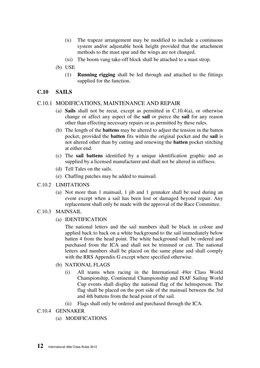- (x) The trapeze arrangement may be modified to include a continuous system and/or adjustable hook height provided that the attachment methods to the mast spar and the wings are not changed.
- (xi) The boom vang take-off block shall be attached to a mast strop.
- (b) USE
	- (1) **Running rigging** shall be led through and attached to the fittings supplied for the function.

#### **C.10 SAILS**

#### C.10.1 MODIFICATIONS, MAINTENANCE AND REPAIR

- (a) **Sails** shall not be recut, except as permitted in C.10.4(a), or otherwise change or affect any aspect of the **sail** or pierce the **sail** for any reason other than effecting necessary repairs or as permitted by these rules.
- (b) The length of the **battens** may be altered to adjust the tension in the batten pocket, provided the **batten** fits within the original pocket and the **sail** is not altered other than by cutting and renewing the **batten** pocket stitching at either end.
- (c) The **sail battens** identified by a unique identification graphic and as supplied by a licensed manufacturer and shall not be altered in stiffness.
- (d) Tell Tales on the sails.
- (e) Chaffing patches may be added to mainsail.
- C.10.2 LIMITATIONS
	- (a) Not more than 1 mainsail, 1 jib and 1 gennaker shall be used during an event except when a sail has been lost or damaged beyond repair. Any replacement shall only be made with the approval of the Race Committee.
- C.10.3 MAINSAIL
	- (a) IDENTIFICATION

 The national letters and the sail numbers shall be black in colour and applied back to back on a white background to the sail immediately below batten 4 from the head point. The white background shall be ordered and purchased from the ICA and shall not be trimmed or cut. The national letters and numbers shall be placed on the same plane and shall comply with the RRS Appendix G except where specified otherwise.

- (b) NATIONAL FLAGS
	- (i) All teams when racing in the International 49er Class World Championship, Continental Championship and ISAF Sailing World Cup events shall display the national flag of the helmsperson. The flag shall be placed on the port side of the mainsail between the 3rd and 4th battens from the head point of the sail.
	- (ii) Flags shall only be ordered and purchased through the ICA.
- C.10.4 GENNAKER
	- (a) MODIFICATIONS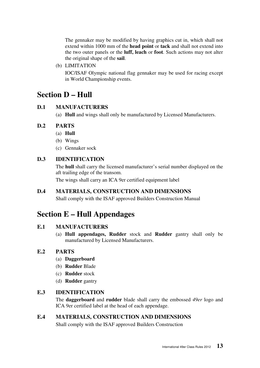The gennaker may be modified by having graphics cut in, which shall not extend within 1000 mm of the **head point** or **tack** and shall not extend into the two outer panels or the **luff, leach** or **foot**. Such actions may not alter the original shape of the **sail**.

(b) LIMITATION

 IOC/ISAF Olympic national flag gennaker may be used for racing except in World Championship events.

# **Section D – Hull**

# **D.1 MANUFACTURERS**

(a) **Hull** and wings shall only be manufactured by Licensed Manufacturers.

# **D.2 PARTS**

- (a) **Hull**
- (b) Wings
- (c) Gennaker sock

# **D.3 IDENTIFICATION**

 The **hull** shall carry the licensed manufacturer's serial number displayed on the aft trailing edge of the transom.

The wings shall carry an ICA 9er certified equipment label

# **D.4 MATERIALS, CONSTRUCTION AND DIMENSIONS**

Shall comply with the ISAF approved Builders Construction Manual

# **Section E – Hull Appendages**

# **E.1 MANUFACTURERS**

(a) **Hull appendages, Rudder** stock and **Rudder** gantry shall only be manufactured by Licensed Manufacturers.

# **E.2 PARTS**

- (a) **Daggerboard**
- (b) **Rudder** Blade
- (c) **Rudder** stock
- (d) **Rudder** gantry

#### **E.3 IDENTIFICATION**

 The **daggerboard** and **rudder** blade shall carry the embossed *49er* logo and ICA 9er certified label at the head of each appendage.

# **E.4 MATERIALS, CONSTRUCTION AND DIMENSIONS**

Shall comply with the ISAF approved Builders Construction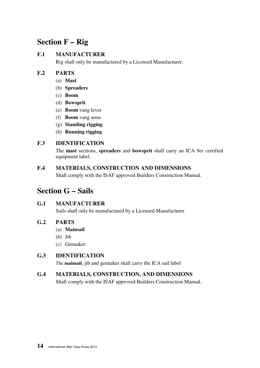# **Section F – Rig**

# **F.1 MANUFACTURER**

Rig shall only be manufactured by a Licensed Manufacturer.

# **F.2 PARTS**

- (a) **Mast**
- (b) **Spreaders**
- (c) **Boom**
- (d) **Bowsprit**
- (e) **Boom** vang lever
- (f) **Boom** vang arms
- (g) **Standing rigging**
- (h) **Running rigging**

# **F.3 IDENTIFICATION**

 The **mast** sections, **spreaders** and **bowsprit** shall carry an ICA 9er certified equipment label.

# **F.4 MATERIALS, CONSTRUCTION AND DIMENSIONS**

Shall comply with the ISAF approved Builders Construction Manual.

# **Section G – Sails**

# **G.1 MANUFACTURER**

Sails shall only be manufactured by a Licensed Manufacturer

# **G.2 PARTS**

- (a) **Mainsail**
- (b) Jib
- (c) Gennaker

# **G.3 IDENTIFICATION**

The **mainsail**, jib and gennaker shall carry the ICA sail label

# **G.4 MATERIALS, CONSTRUCTION, AND DIMENSIONS**

Shall comply with the ISAF approved Builders Construction Manual.